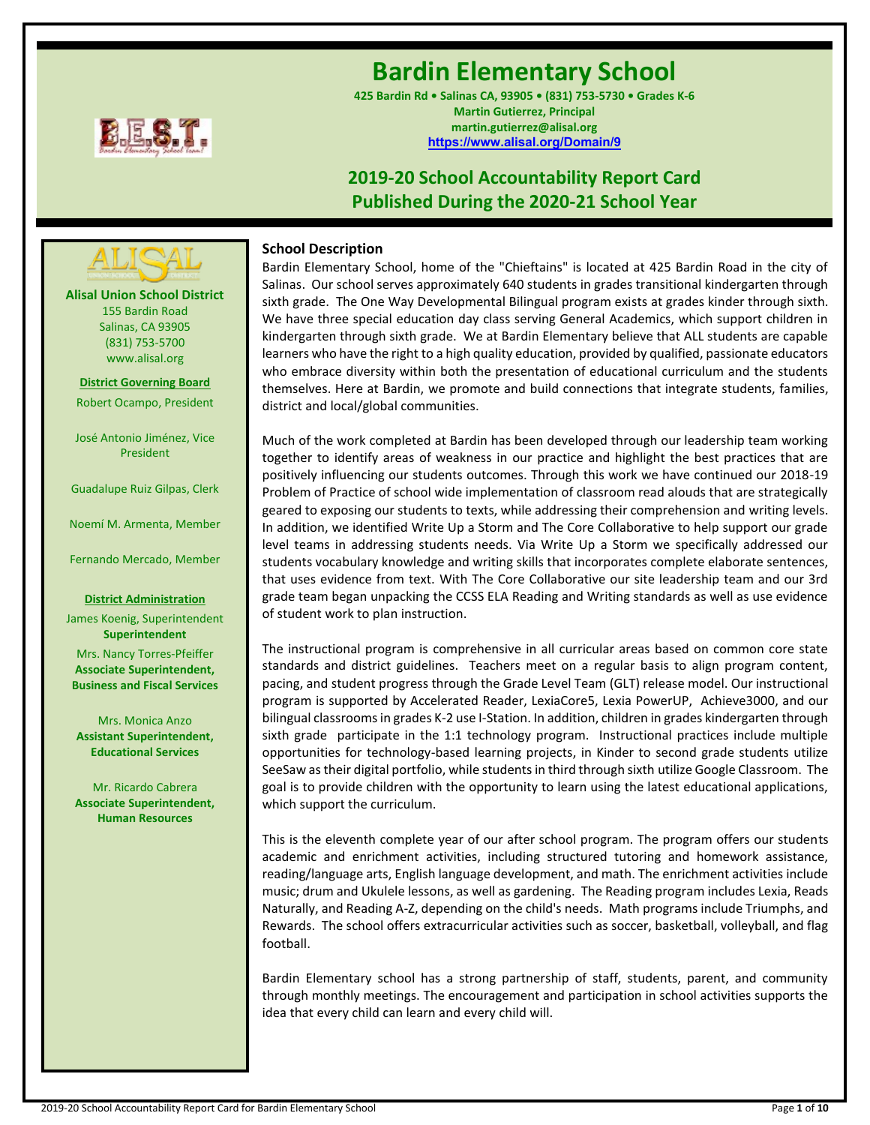

# **Bardin Elementary School**

**425 Bardin Rd • Salinas CA, 93905 • (831) 753-5730 • Grades K-6 Martin Gutierrez, Principal martin.gutierrez@alisal.org <https://www.alisal.org/Domain/9>**

# **2019-20 School Accountability Report Card Published During the 2020-21 School Year**



Bardin Elementary School, home of the "Chieftains" is located at 425 Bardin Road in the city of Salinas. Our school serves approximately 640 students in grades transitional kindergarten through sixth grade. The One Way Developmental Bilingual program exists at grades kinder through sixth. We have three special education day class serving General Academics, which support children in kindergarten through sixth grade. We at Bardin Elementary believe that ALL students are capable learners who have the right to a high quality education, provided by qualified, passionate educators who embrace diversity within both the presentation of educational curriculum and the students themselves. Here at Bardin, we promote and build connections that integrate students, families, district and local/global communities.

Much of the work completed at Bardin has been developed through our leadership team working together to identify areas of weakness in our practice and highlight the best practices that are positively influencing our students outcomes. Through this work we have continued our 2018-19 Problem of Practice of school wide implementation of classroom read alouds that are strategically geared to exposing our students to texts, while addressing their comprehension and writing levels. In addition, we identified Write Up a Storm and The Core Collaborative to help support our grade level teams in addressing students needs. Via Write Up a Storm we specifically addressed our students vocabulary knowledge and writing skills that incorporates complete elaborate sentences, that uses evidence from text. With The Core Collaborative our site leadership team and our 3rd grade team began unpacking the CCSS ELA Reading and Writing standards as well as use evidence of student work to plan instruction.

The instructional program is comprehensive in all curricular areas based on common core state standards and district guidelines. Teachers meet on a regular basis to align program content, pacing, and student progress through the Grade Level Team (GLT) release model. Our instructional program is supported by Accelerated Reader, LexiaCore5, Lexia PowerUP, Achieve3000, and our bilingual classrooms in grades K-2 use I-Station. In addition, children in grades kindergarten through sixth grade participate in the 1:1 technology program. Instructional practices include multiple opportunities for technology-based learning projects, in Kinder to second grade students utilize SeeSaw as their digital portfolio, while students in third through sixth utilize Google Classroom. The goal is to provide children with the opportunity to learn using the latest educational applications, which support the curriculum.

This is the eleventh complete year of our after school program. The program offers our students academic and enrichment activities, including structured tutoring and homework assistance, reading/language arts, English language development, and math. The enrichment activities include music; drum and Ukulele lessons, as well as gardening. The Reading program includes Lexia, Reads Naturally, and Reading A-Z, depending on the child's needs. Math programs include Triumphs, and Rewards. The school offers extracurricular activities such as soccer, basketball, volleyball, and flag football.

Bardin Elementary school has a strong partnership of staff, students, parent, and community through monthly meetings. The encouragement and participation in school activities supports the idea that every child can learn and every child will.

**Alisal Union School District** 155 Bardin Road Salinas, CA 93905 (831) 753-5700 www.alisal.org **---- ----**

**District Governing Board** Robert Ocampo, President

José Antonio Jiménez, Vice President

Guadalupe Ruiz Gilpas, Clerk

Noemí M. Armenta, Member

Fernando Mercado, Member

#### **District Administration**

James Koenig, Superintendent **Superintendent** Mrs. Nancy Torres-Pfeiffer **Associate Superintendent, Business and Fiscal Services**

Mrs. Monica Anzo **Assistant Superintendent, Educational Services**

Mr. Ricardo Cabrera **Associate Superintendent, Human Resources**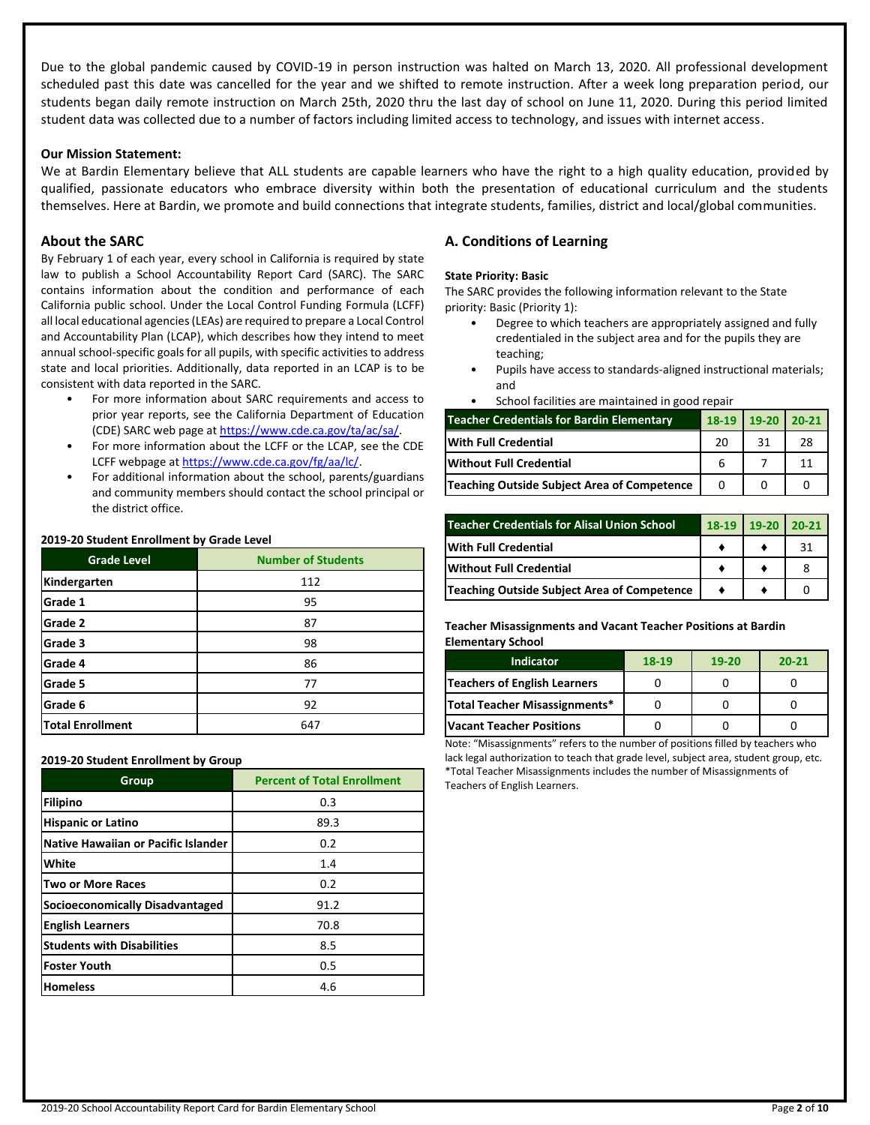Due to the global pandemic caused by COVID-19 in person instruction was halted on March 13, 2020. All professional development scheduled past this date was cancelled for the year and we shifted to remote instruction. After a week long preparation period, our students began daily remote instruction on March 25th, 2020 thru the last day of school on June 11, 2020. During this period limited student data was collected due to a number of factors including limited access to technology, and issues with internet access.

#### **Our Mission Statement:**

We at Bardin Elementary believe that ALL students are capable learners who have the right to a high quality education, provided by qualified, passionate educators who embrace diversity within both the presentation of educational curriculum and the students themselves. Here at Bardin, we promote and build connections that integrate students, families, district and local/global communities.

# **About the SARC**

By February 1 of each year, every school in California is required by state law to publish a School Accountability Report Card (SARC). The SARC contains information about the condition and performance of each California public school. Under the Local Control Funding Formula (LCFF) all local educational agencies (LEAs) are required to prepare a Local Control and Accountability Plan (LCAP), which describes how they intend to meet annual school-specific goals for all pupils, with specific activities to address state and local priorities. Additionally, data reported in an LCAP is to be consistent with data reported in the SARC.

- For more information about SARC requirements and access to prior year reports, see the California Department of Education (CDE) SARC web page at [https://www.cde.ca.gov/ta/ac/sa/.](https://www.cde.ca.gov/ta/ac/sa/)
- For more information about the LCFF or the LCAP, see the CDE LCFF webpage a[t https://www.cde.ca.gov/fg/aa/lc/.](https://www.cde.ca.gov/fg/aa/lc/)
- For additional information about the school, parents/guardians and community members should contact the school principal or the district office.

#### **2019-20 Student Enrollment by Grade Level**

| <b>Grade Level</b>      | <b>Number of Students</b> |
|-------------------------|---------------------------|
| Kindergarten            | 112                       |
| Grade 1                 | 95                        |
| Grade 2                 | 87                        |
| Grade 3                 | 98                        |
| Grade 4                 | 86                        |
| Grade 5                 | 77                        |
| Grade 6                 | 92                        |
| <b>Total Enrollment</b> | 647                       |

**2019-20 Student Enrollment by Group**

| Group                                  | <b>Percent of Total Enrollment</b> |
|----------------------------------------|------------------------------------|
| Filipino                               | 0.3                                |
| <b>Hispanic or Latino</b>              | 89.3                               |
| Native Hawaiian or Pacific Islander    | 0.2                                |
| White                                  | 1.4                                |
| <b>Two or More Races</b>               | 0.2                                |
| <b>Socioeconomically Disadvantaged</b> | 91.2                               |
| <b>English Learners</b>                | 70.8                               |
| <b>Students with Disabilities</b>      | 8.5                                |
| <b>Foster Youth</b>                    | 0.5                                |
| <b>Homeless</b>                        | 4.6                                |

# **A. Conditions of Learning**

#### **State Priority: Basic**

The SARC provides the following information relevant to the State priority: Basic (Priority 1):

- Degree to which teachers are appropriately assigned and fully credentialed in the subject area and for the pupils they are teaching;
- Pupils have access to standards-aligned instructional materials; and
- School facilities are maintained in good repair

| <b>Teacher Credentials for Bardin Elementary</b> |    | $19-20$<br>$18-19$ | $20 - 21$ |
|--------------------------------------------------|----|--------------------|-----------|
| <b>With Full Credential</b>                      | 20 | 31                 | 28        |
| <b>Without Full Credential</b>                   |    |                    | 11        |
| Teaching Outside Subject Area of Competence      |    |                    |           |

| <b>Teacher Credentials for Alisal Union School</b> | 18-19 | $19-20$ | $20 - 21$ |
|----------------------------------------------------|-------|---------|-----------|
| <b>With Full Credential</b>                        |       |         | 31        |
| <b>Without Full Credential</b>                     |       |         |           |
| Teaching Outside Subject Area of Competence        |       |         |           |

#### **Teacher Misassignments and Vacant Teacher Positions at Bardin Elementary School**

| <b>Indicator</b>                    | 18-19 | $19-20$ | $20 - 21$ |  |
|-------------------------------------|-------|---------|-----------|--|
| <b>Teachers of English Learners</b> |       |         |           |  |
| Total Teacher Misassignments*       |       |         |           |  |
| <b>Vacant Teacher Positions</b>     |       |         |           |  |

Note: "Misassignments" refers to the number of positions filled by teachers who lack legal authorization to teach that grade level, subject area, student group, etc. \*Total Teacher Misassignments includes the number of Misassignments of Teachers of English Learners.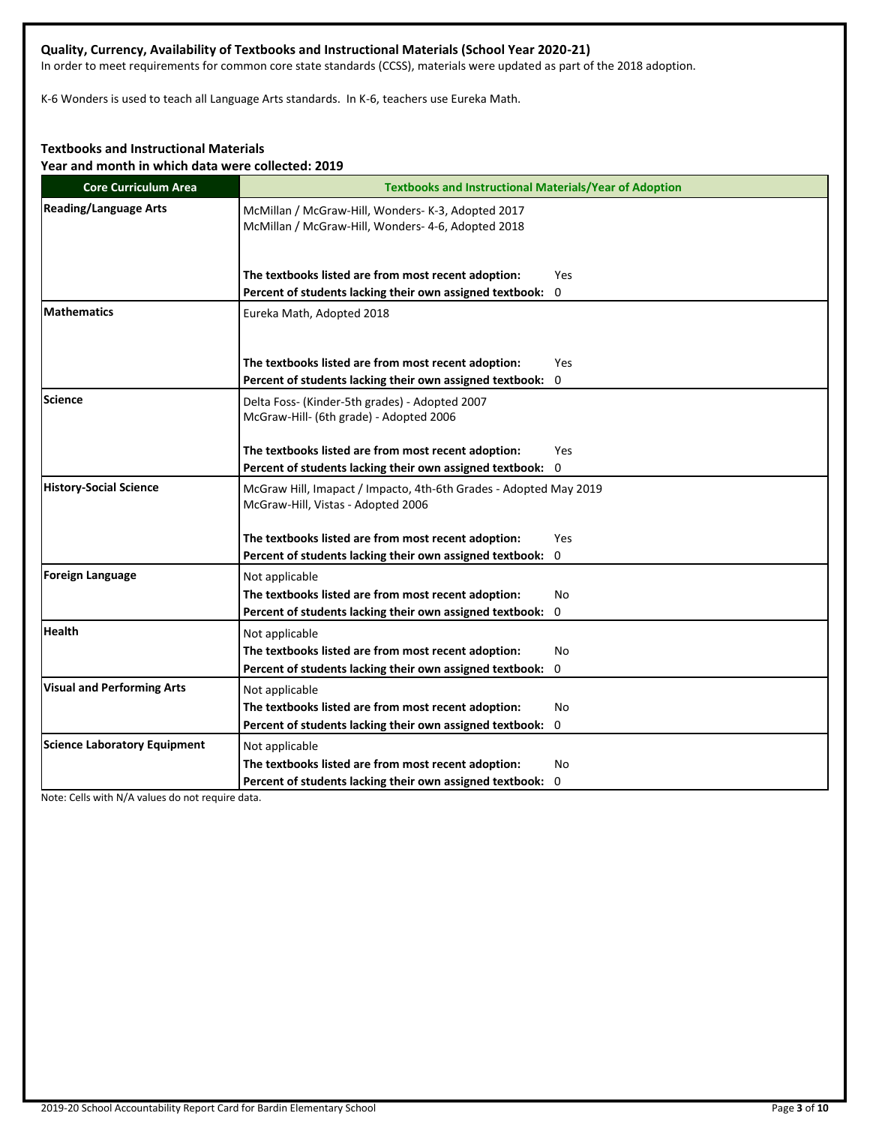# **Quality, Currency, Availability of Textbooks and Instructional Materials (School Year 2020-21)**

In order to meet requirements for common core state standards (CCSS), materials were updated as part of the 2018 adoption.

K-6 Wonders is used to teach all Language Arts standards. In K-6, teachers use Eureka Math.

# **Textbooks and Instructional Materials**

**Year and month in which data were collected: 2019**

| <b>Core Curriculum Area</b>         | <b>Textbooks and Instructional Materials/Year of Adoption</b>                                            |
|-------------------------------------|----------------------------------------------------------------------------------------------------------|
| <b>Reading/Language Arts</b>        | McMillan / McGraw-Hill, Wonders- K-3, Adopted 2017<br>McMillan / McGraw-Hill, Wonders- 4-6, Adopted 2018 |
|                                     | The textbooks listed are from most recent adoption:<br>Yes                                               |
|                                     | Percent of students lacking their own assigned textbook: 0                                               |
| <b>Mathematics</b>                  | Eureka Math, Adopted 2018                                                                                |
|                                     | The textbooks listed are from most recent adoption:<br>Yes                                               |
|                                     | Percent of students lacking their own assigned textbook:<br>0                                            |
| Science                             | Delta Foss- (Kinder-5th grades) - Adopted 2007<br>McGraw-Hill- (6th grade) - Adopted 2006                |
|                                     | The textbooks listed are from most recent adoption:<br>Yes                                               |
|                                     | Percent of students lacking their own assigned textbook: 0                                               |
| <b>History-Social Science</b>       | McGraw Hill, Imapact / Impacto, 4th-6th Grades - Adopted May 2019<br>McGraw-Hill, Vistas - Adopted 2006  |
|                                     | The textbooks listed are from most recent adoption:<br>Yes                                               |
|                                     | Percent of students lacking their own assigned textbook: 0                                               |
| Foreign Language                    | Not applicable                                                                                           |
|                                     | The textbooks listed are from most recent adoption:<br>No                                                |
|                                     | Percent of students lacking their own assigned textbook:<br>0                                            |
| <b>Health</b>                       | Not applicable                                                                                           |
|                                     | The textbooks listed are from most recent adoption:<br>No                                                |
|                                     | Percent of students lacking their own assigned textbook: 0                                               |
| <b>Visual and Performing Arts</b>   | Not applicable                                                                                           |
|                                     | The textbooks listed are from most recent adoption:<br>No                                                |
|                                     | Percent of students lacking their own assigned textbook: 0                                               |
| <b>Science Laboratory Equipment</b> | Not applicable                                                                                           |
|                                     | The textbooks listed are from most recent adoption:<br>No                                                |
|                                     | Percent of students lacking their own assigned textbook: 0                                               |

Note: Cells with N/A values do not require data.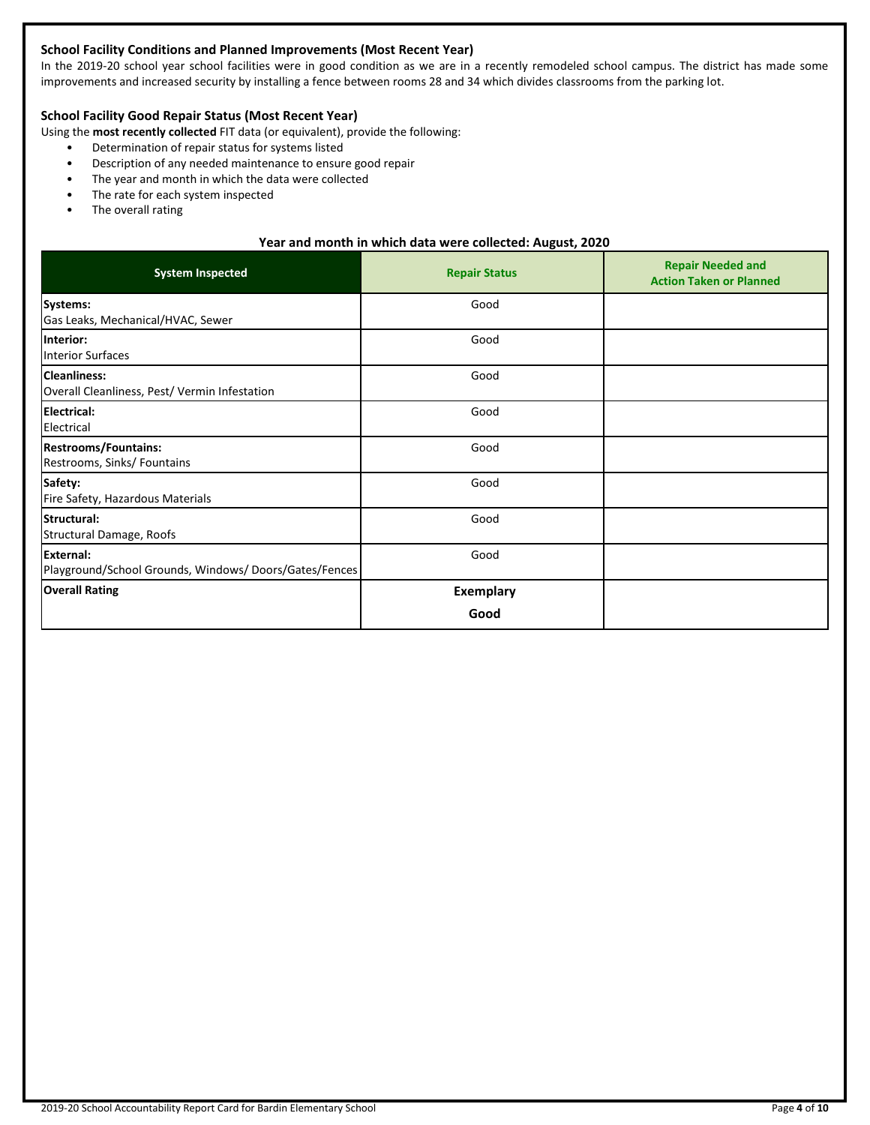# **School Facility Conditions and Planned Improvements (Most Recent Year)**

In the 2019-20 school year school facilities were in good condition as we are in a recently remodeled school campus. The district has made some improvements and increased security by installing a fence between rooms 28 and 34 which divides classrooms from the parking lot.

# **School Facility Good Repair Status (Most Recent Year)**

Using the **most recently collected** FIT data (or equivalent), provide the following:

- Determination of repair status for systems listed
- Description of any needed maintenance to ensure good repair
- The year and month in which the data were collected
- The rate for each system inspected
- The overall rating

# **Year and month in which data were collected: August, 2020**

| <b>System Inspected</b>                                                   | <b>Repair Status</b>     | <b>Repair Needed and</b><br><b>Action Taken or Planned</b> |
|---------------------------------------------------------------------------|--------------------------|------------------------------------------------------------|
| Systems:<br>Gas Leaks, Mechanical/HVAC, Sewer                             | Good                     |                                                            |
| Interior:<br><b>Interior Surfaces</b>                                     | Good                     |                                                            |
| <b>Cleanliness:</b><br>Overall Cleanliness, Pest/ Vermin Infestation      | Good                     |                                                            |
| <b>Electrical:</b><br>Electrical                                          | Good                     |                                                            |
| <b>Restrooms/Fountains:</b><br>Restrooms, Sinks/ Fountains                | Good                     |                                                            |
| Safety:<br>Fire Safety, Hazardous Materials                               | Good                     |                                                            |
| Structural:<br>Structural Damage, Roofs                                   | Good                     |                                                            |
| <b>External:</b><br>Playground/School Grounds, Windows/Doors/Gates/Fences | Good                     |                                                            |
| <b>Overall Rating</b>                                                     | <b>Exemplary</b><br>Good |                                                            |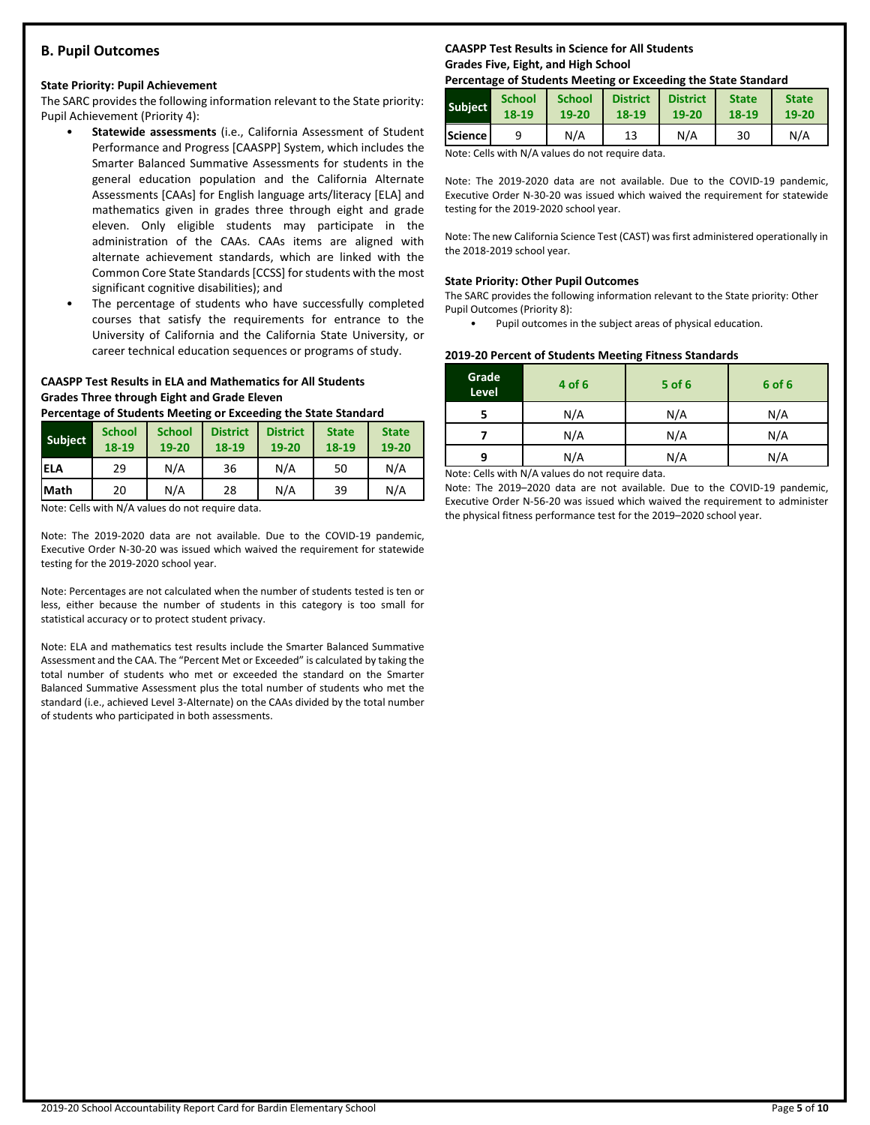# **B. Pupil Outcomes**

#### **State Priority: Pupil Achievement**

The SARC provides the following information relevant to the State priority: Pupil Achievement (Priority 4):

- **Statewide assessments** (i.e., California Assessment of Student Performance and Progress [CAASPP] System, which includes the Smarter Balanced Summative Assessments for students in the general education population and the California Alternate Assessments [CAAs] for English language arts/literacy [ELA] and mathematics given in grades three through eight and grade eleven. Only eligible students may participate in the administration of the CAAs. CAAs items are aligned with alternate achievement standards, which are linked with the Common Core State Standards [CCSS] for students with the most significant cognitive disabilities); and
- The percentage of students who have successfully completed courses that satisfy the requirements for entrance to the University of California and the California State University, or career technical education sequences or programs of study.

### **CAASPP Test Results in ELA and Mathematics for All Students Grades Three through Eight and Grade Eleven**

**Percentage of Students Meeting or Exceeding the State Standard**

| <b>Subject</b> | <b>School</b><br>18-19 | <b>School</b><br>19-20 | <b>District</b><br>18-19 | <b>District</b><br>19-20 | <b>State</b><br>18-19 | <b>State</b><br>19-20 |
|----------------|------------------------|------------------------|--------------------------|--------------------------|-----------------------|-----------------------|
| <b>IELA</b>    | 29                     | N/A                    | 36                       | N/A                      | 50                    | N/A                   |
| <b>Math</b>    | 20                     | N/A                    | 28                       | N/A                      | 39                    | N/A                   |

Note: Cells with N/A values do not require data.

Note: The 2019-2020 data are not available. Due to the COVID-19 pandemic, Executive Order N-30-20 was issued which waived the requirement for statewide testing for the 2019-2020 school year.

Note: Percentages are not calculated when the number of students tested is ten or less, either because the number of students in this category is too small for statistical accuracy or to protect student privacy.

Note: ELA and mathematics test results include the Smarter Balanced Summative Assessment and the CAA. The "Percent Met or Exceeded" is calculated by taking the total number of students who met or exceeded the standard on the Smarter Balanced Summative Assessment plus the total number of students who met the standard (i.e., achieved Level 3-Alternate) on the CAAs divided by the total number of students who participated in both assessments.

# **CAASPP Test Results in Science for All Students Grades Five, Eight, and High School**

#### **Percentage of Students Meeting or Exceeding the State Standard**

| <b>Subject</b>   | <b>School</b> | <b>School</b> | <b>District</b> | <b>District</b> | <b>State</b> | <b>State</b> |
|------------------|---------------|---------------|-----------------|-----------------|--------------|--------------|
|                  | 18-19         | 19-20         | 18-19           | 19-20           | 18-19        | 19-20        |
| <b>Science</b> I |               | N/A           | 13              | N/A             | 30           | N/A          |

Note: Cells with N/A values do not require data.

Note: The 2019-2020 data are not available. Due to the COVID-19 pandemic, Executive Order N-30-20 was issued which waived the requirement for statewide testing for the 2019-2020 school year.

Note: The new California Science Test (CAST) was first administered operationally in the 2018-2019 school year.

#### **State Priority: Other Pupil Outcomes**

The SARC provides the following information relevant to the State priority: Other Pupil Outcomes (Priority 8):

• Pupil outcomes in the subject areas of physical education.

#### **2019-20 Percent of Students Meeting Fitness Standards**

| Grade<br>Level | 4 of 6                                                                                                                                                                                                                                    | $5$ of 6 | 6 of 6 |
|----------------|-------------------------------------------------------------------------------------------------------------------------------------------------------------------------------------------------------------------------------------------|----------|--------|
|                | N/A                                                                                                                                                                                                                                       | N/A      | N/A    |
|                | N/A                                                                                                                                                                                                                                       | N/A      | N/A    |
| q              | N/A                                                                                                                                                                                                                                       | N/A      | N/A    |
|                | $\mathbf{A}$ is a set of $\mathbf{A}$ if the set of $\mathbf{A}$ and is a set of the set of the set of the set of the set of the set of the set of the set of the set of the set of the set of the set of the set of the set of the set o |          |        |

Note: Cells with N/A values do not require data.

Note: The 2019–2020 data are not available. Due to the COVID-19 pandemic, Executive Order N-56-20 was issued which waived the requirement to administer the physical fitness performance test for the 2019–2020 school year.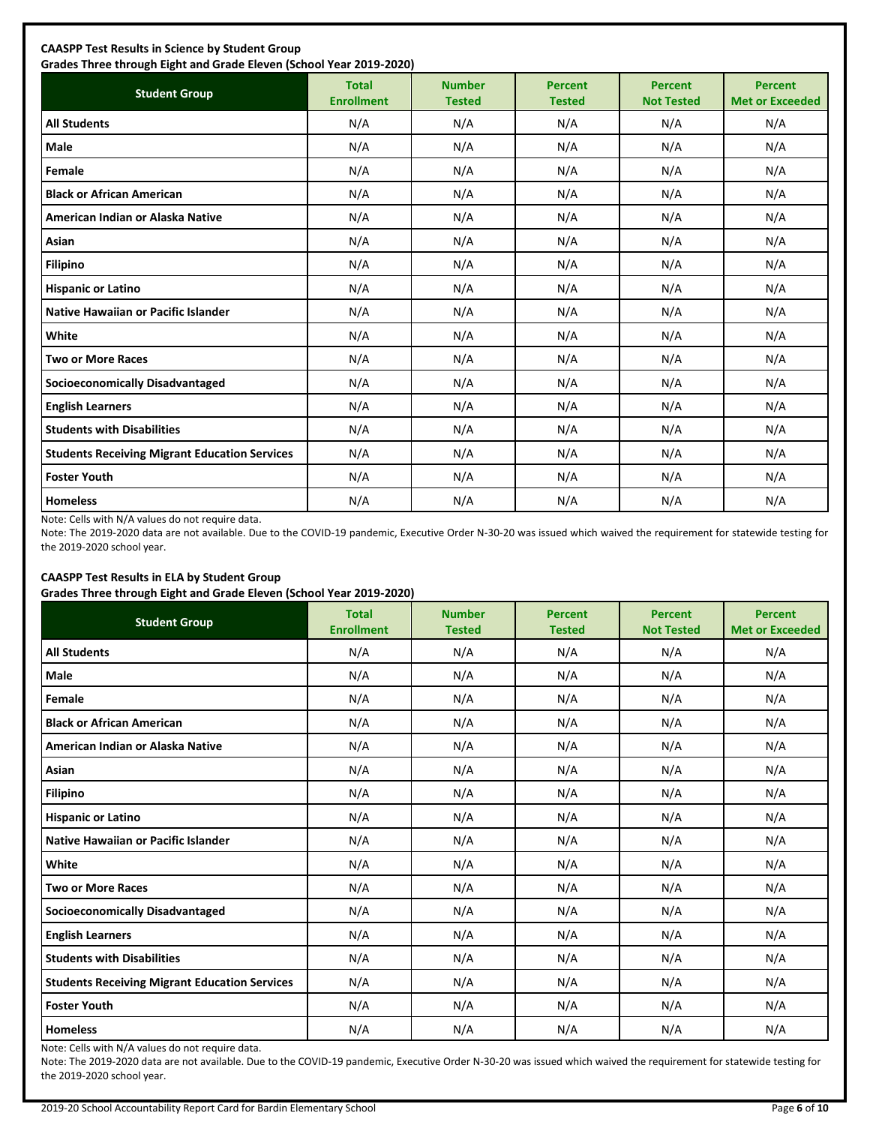| <b>Student Group</b>                                 | <b>Total</b><br><b>Enrollment</b> | <b>Number</b><br><b>Tested</b> | <b>Percent</b><br><b>Tested</b> | <b>Percent</b><br><b>Not Tested</b> | <b>Percent</b><br><b>Met or Exceeded</b> |
|------------------------------------------------------|-----------------------------------|--------------------------------|---------------------------------|-------------------------------------|------------------------------------------|
| <b>All Students</b>                                  | N/A                               | N/A                            | N/A                             | N/A                                 | N/A                                      |
| Male                                                 | N/A                               | N/A                            | N/A                             | N/A                                 | N/A                                      |
| Female                                               | N/A                               | N/A                            | N/A                             | N/A                                 | N/A                                      |
| <b>Black or African American</b>                     | N/A                               | N/A                            | N/A                             | N/A                                 | N/A                                      |
| American Indian or Alaska Native                     | N/A                               | N/A                            | N/A                             | N/A                                 | N/A                                      |
| Asian                                                | N/A                               | N/A                            | N/A                             | N/A                                 | N/A                                      |
| <b>Filipino</b>                                      | N/A                               | N/A                            | N/A                             | N/A                                 | N/A                                      |
| <b>Hispanic or Latino</b>                            | N/A                               | N/A                            | N/A                             | N/A                                 | N/A                                      |
| Native Hawaiian or Pacific Islander                  | N/A                               | N/A                            | N/A                             | N/A                                 | N/A                                      |
| White                                                | N/A                               | N/A                            | N/A                             | N/A                                 | N/A                                      |
| <b>Two or More Races</b>                             | N/A                               | N/A                            | N/A                             | N/A                                 | N/A                                      |
| <b>Socioeconomically Disadvantaged</b>               | N/A                               | N/A                            | N/A                             | N/A                                 | N/A                                      |
| <b>English Learners</b>                              | N/A                               | N/A                            | N/A                             | N/A                                 | N/A                                      |
| <b>Students with Disabilities</b>                    | N/A                               | N/A                            | N/A                             | N/A                                 | N/A                                      |
| <b>Students Receiving Migrant Education Services</b> | N/A                               | N/A                            | N/A                             | N/A                                 | N/A                                      |
| <b>Foster Youth</b>                                  | N/A                               | N/A                            | N/A                             | N/A                                 | N/A                                      |
| <b>Homeless</b>                                      | N/A                               | N/A                            | N/A                             | N/A                                 | N/A                                      |

Note: Cells with N/A values do not require data.

Note: The 2019-2020 data are not available. Due to the COVID-19 pandemic, Executive Order N-30-20 was issued which waived the requirement for statewide testing for the 2019-2020 school year.

# **CAASPP Test Results in ELA by Student Group**

**Grades Three through Eight and Grade Eleven (School Year 2019-2020)**

| <b>Student Group</b>                                 | .,<br><b>Total</b><br><b>Enrollment</b> | <b>Number</b><br><b>Tested</b> | <b>Percent</b><br><b>Tested</b> | <b>Percent</b><br><b>Not Tested</b> | <b>Percent</b><br><b>Met or Exceeded</b> |
|------------------------------------------------------|-----------------------------------------|--------------------------------|---------------------------------|-------------------------------------|------------------------------------------|
| <b>All Students</b>                                  | N/A                                     | N/A                            | N/A                             | N/A                                 | N/A                                      |
| Male                                                 | N/A                                     | N/A                            | N/A                             | N/A                                 | N/A                                      |
| Female                                               | N/A                                     | N/A                            | N/A                             | N/A                                 | N/A                                      |
| <b>Black or African American</b>                     | N/A                                     | N/A                            | N/A                             | N/A                                 | N/A                                      |
| American Indian or Alaska Native                     | N/A                                     | N/A                            | N/A                             | N/A                                 | N/A                                      |
| Asian                                                | N/A                                     | N/A                            | N/A                             | N/A                                 | N/A                                      |
| <b>Filipino</b>                                      | N/A                                     | N/A                            | N/A                             | N/A                                 | N/A                                      |
| <b>Hispanic or Latino</b>                            | N/A                                     | N/A                            | N/A                             | N/A                                 | N/A                                      |
| Native Hawaiian or Pacific Islander                  | N/A                                     | N/A                            | N/A                             | N/A                                 | N/A                                      |
| White                                                | N/A                                     | N/A                            | N/A                             | N/A                                 | N/A                                      |
| <b>Two or More Races</b>                             | N/A                                     | N/A                            | N/A                             | N/A                                 | N/A                                      |
| <b>Socioeconomically Disadvantaged</b>               | N/A                                     | N/A                            | N/A                             | N/A                                 | N/A                                      |
| <b>English Learners</b>                              | N/A                                     | N/A                            | N/A                             | N/A                                 | N/A                                      |
| <b>Students with Disabilities</b>                    | N/A                                     | N/A                            | N/A                             | N/A                                 | N/A                                      |
| <b>Students Receiving Migrant Education Services</b> | N/A                                     | N/A                            | N/A                             | N/A                                 | N/A                                      |
| <b>Foster Youth</b>                                  | N/A                                     | N/A                            | N/A                             | N/A                                 | N/A                                      |
| <b>Homeless</b>                                      | N/A                                     | N/A                            | N/A                             | N/A                                 | N/A                                      |

Note: Cells with N/A values do not require data.

Note: The 2019-2020 data are not available. Due to the COVID-19 pandemic, Executive Order N-30-20 was issued which waived the requirement for statewide testing for the 2019-2020 school year.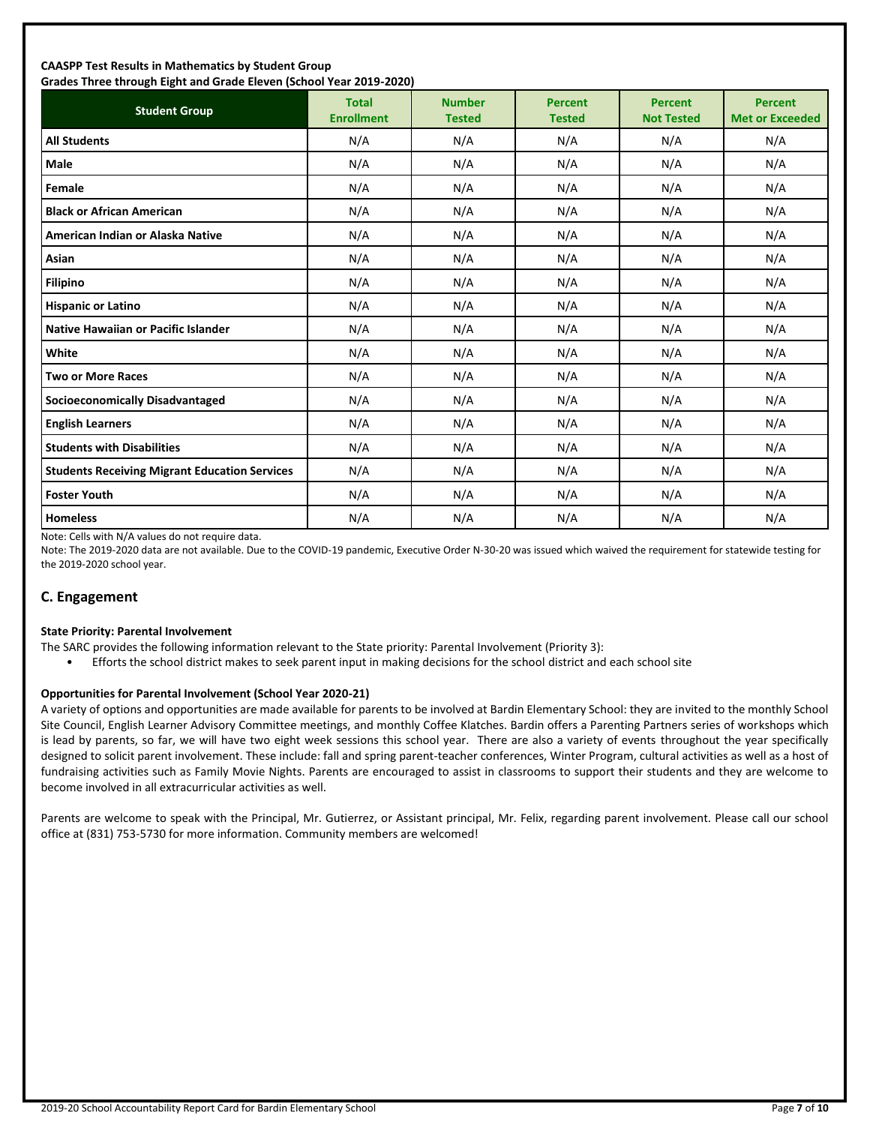#### **CAASPP Test Results in Mathematics by Student Group Grades Three through Eight and Grade Eleven (School Year 2019-2020)**

| andes mice anoggii agna and ardue actem penoor redi 2015 2020;<br><b>Student Group</b> | <b>Total</b><br><b>Enrollment</b> | <b>Number</b><br><b>Tested</b> | <b>Percent</b><br><b>Tested</b> | <b>Percent</b><br><b>Not Tested</b> | <b>Percent</b><br><b>Met or Exceeded</b> |
|----------------------------------------------------------------------------------------|-----------------------------------|--------------------------------|---------------------------------|-------------------------------------|------------------------------------------|
| <b>All Students</b>                                                                    | N/A                               | N/A                            | N/A                             | N/A                                 | N/A                                      |
| <b>Male</b>                                                                            | N/A                               | N/A                            | N/A                             | N/A                                 | N/A                                      |
| Female                                                                                 | N/A                               | N/A                            | N/A                             | N/A                                 | N/A                                      |
| <b>Black or African American</b>                                                       | N/A                               | N/A                            | N/A                             | N/A                                 | N/A                                      |
| American Indian or Alaska Native                                                       | N/A                               | N/A                            | N/A                             | N/A                                 | N/A                                      |
| Asian                                                                                  | N/A                               | N/A                            | N/A                             | N/A                                 | N/A                                      |
| <b>Filipino</b>                                                                        | N/A                               | N/A                            | N/A                             | N/A                                 | N/A                                      |
| <b>Hispanic or Latino</b>                                                              | N/A                               | N/A                            | N/A                             | N/A                                 | N/A                                      |
| <b>Native Hawaiian or Pacific Islander</b>                                             | N/A                               | N/A                            | N/A                             | N/A                                 | N/A                                      |
| White                                                                                  | N/A                               | N/A                            | N/A                             | N/A                                 | N/A                                      |
| <b>Two or More Races</b>                                                               | N/A                               | N/A                            | N/A                             | N/A                                 | N/A                                      |
| <b>Socioeconomically Disadvantaged</b>                                                 | N/A                               | N/A                            | N/A                             | N/A                                 | N/A                                      |
| <b>English Learners</b>                                                                | N/A                               | N/A                            | N/A                             | N/A                                 | N/A                                      |
| <b>Students with Disabilities</b>                                                      | N/A                               | N/A                            | N/A                             | N/A                                 | N/A                                      |
| <b>Students Receiving Migrant Education Services</b>                                   | N/A                               | N/A                            | N/A                             | N/A                                 | N/A                                      |
| <b>Foster Youth</b>                                                                    | N/A                               | N/A                            | N/A                             | N/A                                 | N/A                                      |
| <b>Homeless</b>                                                                        | N/A                               | N/A                            | N/A                             | N/A                                 | N/A                                      |

Note: Cells with N/A values do not require data.

Note: The 2019-2020 data are not available. Due to the COVID-19 pandemic, Executive Order N-30-20 was issued which waived the requirement for statewide testing for the 2019-2020 school year.

# **C. Engagement**

#### **State Priority: Parental Involvement**

- The SARC provides the following information relevant to the State priority: Parental Involvement (Priority 3):
	- Efforts the school district makes to seek parent input in making decisions for the school district and each school site

#### **Opportunities for Parental Involvement (School Year 2020-21)**

A variety of options and opportunities are made available for parents to be involved at Bardin Elementary School: they are invited to the monthly School Site Council, English Learner Advisory Committee meetings, and monthly Coffee Klatches. Bardin offers a Parenting Partners series of workshops which is lead by parents, so far, we will have two eight week sessions this school year. There are also a variety of events throughout the year specifically designed to solicit parent involvement. These include: fall and spring parent-teacher conferences, Winter Program, cultural activities as well as a host of fundraising activities such as Family Movie Nights. Parents are encouraged to assist in classrooms to support their students and they are welcome to become involved in all extracurricular activities as well.

Parents are welcome to speak with the Principal, Mr. Gutierrez, or Assistant principal, Mr. Felix, regarding parent involvement. Please call our school office at (831) 753-5730 for more information. Community members are welcomed!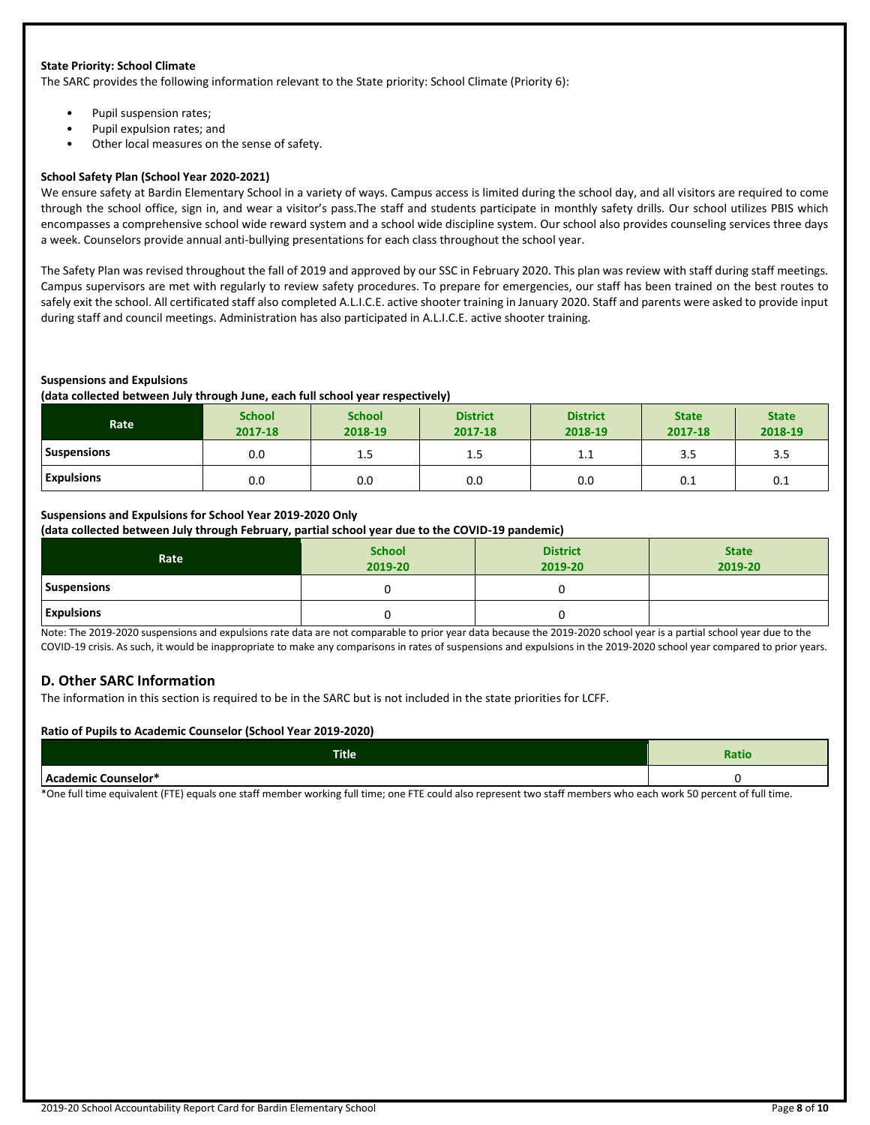#### **State Priority: School Climate**

The SARC provides the following information relevant to the State priority: School Climate (Priority 6):

- Pupil suspension rates;
- Pupil expulsion rates; and
- Other local measures on the sense of safety.

#### **School Safety Plan (School Year 2020-2021)**

We ensure safety at Bardin Elementary School in a variety of ways. Campus access is limited during the school day, and all visitors are required to come through the school office, sign in, and wear a visitor's pass.The staff and students participate in monthly safety drills. Our school utilizes PBIS which encompasses a comprehensive school wide reward system and a school wide discipline system. Our school also provides counseling services three days a week. Counselors provide annual anti-bullying presentations for each class throughout the school year.

The Safety Plan was revised throughout the fall of 2019 and approved by our SSC in February 2020. This plan was review with staff during staff meetings. Campus supervisors are met with regularly to review safety procedures. To prepare for emergencies, our staff has been trained on the best routes to safely exit the school. All certificated staff also completed A.L.I.C.E. active shooter training in January 2020. Staff and parents were asked to provide input during staff and council meetings. Administration has also participated in A.L.I.C.E. active shooter training.

#### **Suspensions and Expulsions**

**(data collected between July through June, each full school year respectively)**

| Rate               | <b>School</b><br>2017-18 | <b>School</b><br>2018-19 | <b>District</b><br>2017-18 | <b>District</b><br>2018-19 | <b>State</b><br>2017-18 | <b>State</b><br>2018-19 |
|--------------------|--------------------------|--------------------------|----------------------------|----------------------------|-------------------------|-------------------------|
| <b>Suspensions</b> | 0.0                      | 1.5                      | 1.5                        | ᆠᆞᆂ                        | კ.ა                     | 3.5                     |
| <b>Expulsions</b>  | 0.0                      | 0.0                      | 0.0                        | 0.0                        | 0.1                     | 0.1                     |

# **Suspensions and Expulsions for School Year 2019-2020 Only**

**(data collected between July through February, partial school year due to the COVID-19 pandemic)**

| Rate              | <b>School</b><br>2019-20 | <b>District</b><br>2019-20 | <b>State</b><br>2019-20 |
|-------------------|--------------------------|----------------------------|-------------------------|
| Suspensions       |                          |                            |                         |
| <b>Expulsions</b> |                          |                            |                         |

Note: The 2019-2020 suspensions and expulsions rate data are not comparable to prior year data because the 2019-2020 school year is a partial school year due to the COVID-19 crisis. As such, it would be inappropriate to make any comparisons in rates of suspensions and expulsions in the 2019-2020 school year compared to prior years.

#### **D. Other SARC Information**

The information in this section is required to be in the SARC but is not included in the state priorities for LCFF.

#### **Ratio of Pupils to Academic Counselor (School Year 2019-2020)**

| <b>Title</b>                      | Ratio |
|-----------------------------------|-------|
| Λ,<br>.<br>Counselor*<br>.demic ′ |       |

\*One full time equivalent (FTE) equals one staff member working full time; one FTE could also represent two staff members who each work 50 percent of full time.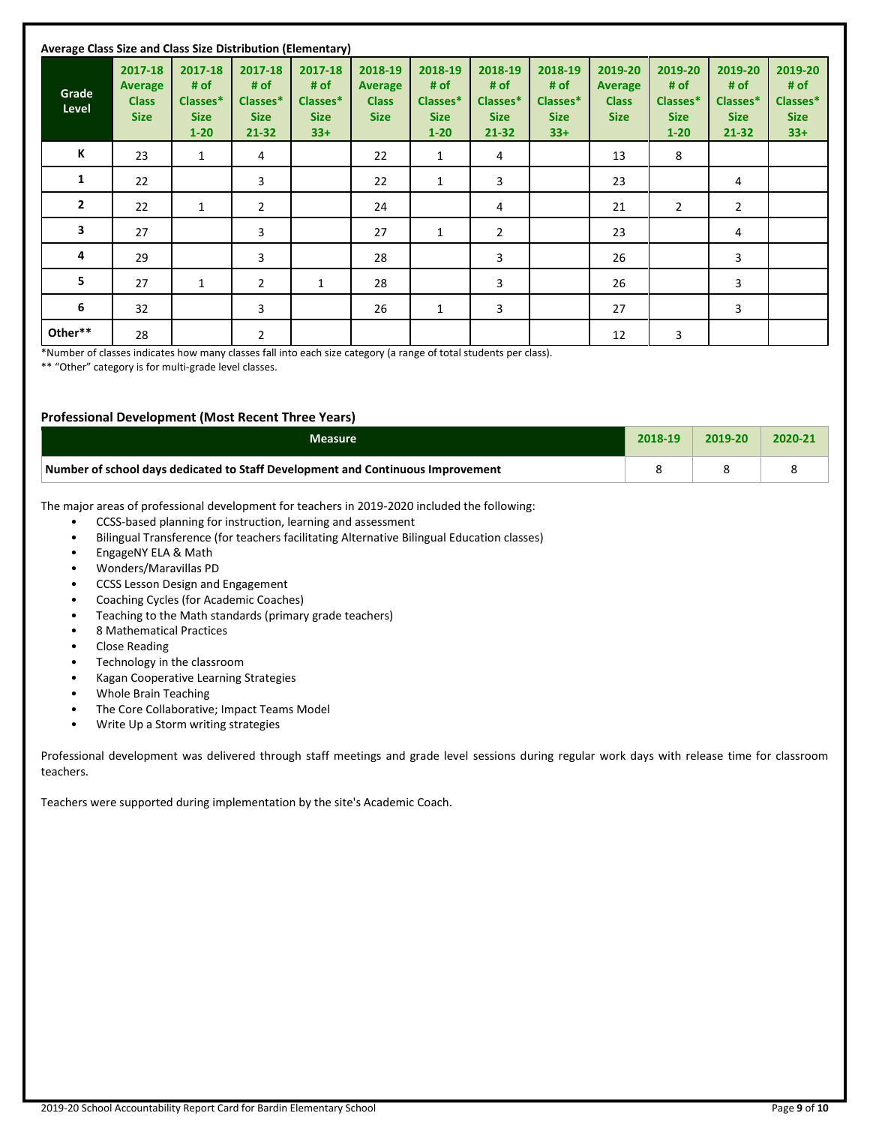| Average Class Size and Class Size Distribution (Elementary) |                                                   |                                                        |                                                     |                                                     |                                                   |                                                        |                                                     |                                                     |                                                   |                                                        |                                                         |                                                     |
|-------------------------------------------------------------|---------------------------------------------------|--------------------------------------------------------|-----------------------------------------------------|-----------------------------------------------------|---------------------------------------------------|--------------------------------------------------------|-----------------------------------------------------|-----------------------------------------------------|---------------------------------------------------|--------------------------------------------------------|---------------------------------------------------------|-----------------------------------------------------|
| Grade<br>Level                                              | 2017-18<br>Average<br><b>Class</b><br><b>Size</b> | 2017-18<br># of<br>Classes*<br><b>Size</b><br>$1 - 20$ | 2017-18<br># of<br>Classes*<br><b>Size</b><br>21-32 | 2017-18<br># of<br>Classes*<br><b>Size</b><br>$33+$ | 2018-19<br>Average<br><b>Class</b><br><b>Size</b> | 2018-19<br># of<br>Classes*<br><b>Size</b><br>$1 - 20$ | 2018-19<br># of<br>Classes*<br><b>Size</b><br>21-32 | 2018-19<br># of<br>Classes*<br><b>Size</b><br>$33+$ | 2019-20<br>Average<br><b>Class</b><br><b>Size</b> | 2019-20<br># of<br>Classes*<br><b>Size</b><br>$1 - 20$ | 2019-20<br># of<br>Classes*<br><b>Size</b><br>$21 - 32$ | 2019-20<br># of<br>Classes*<br><b>Size</b><br>$33+$ |
| К                                                           | 23                                                | 1                                                      | 4                                                   |                                                     | 22                                                | $\mathbf{1}$                                           | 4                                                   |                                                     | 13                                                | 8                                                      |                                                         |                                                     |
| 1                                                           | 22                                                |                                                        | 3                                                   |                                                     | 22                                                | $\mathbf{1}$                                           | 3                                                   |                                                     | 23                                                |                                                        | 4                                                       |                                                     |
| $\mathbf{2}$                                                | 22                                                | $\mathbf{1}$                                           | $\overline{2}$                                      |                                                     | 24                                                |                                                        | 4                                                   |                                                     | 21                                                | $\overline{2}$                                         | 2                                                       |                                                     |
| 3                                                           | 27                                                |                                                        | 3                                                   |                                                     | 27                                                | $\mathbf{1}$                                           | $\overline{2}$                                      |                                                     | 23                                                |                                                        | 4                                                       |                                                     |
| 4                                                           | 29                                                |                                                        | 3                                                   |                                                     | 28                                                |                                                        | 3                                                   |                                                     | 26                                                |                                                        | 3                                                       |                                                     |
| 5                                                           | 27                                                | $\mathbf{1}$                                           | 2                                                   | $\mathbf{1}$                                        | 28                                                |                                                        | 3                                                   |                                                     | 26                                                |                                                        | 3                                                       |                                                     |
| 6                                                           | 32                                                |                                                        | 3                                                   |                                                     | 26                                                | 1                                                      | 3                                                   |                                                     | 27                                                |                                                        | 3                                                       |                                                     |
| Other**                                                     | 28                                                |                                                        | 2                                                   |                                                     |                                                   |                                                        |                                                     |                                                     | 12                                                | 3                                                      |                                                         |                                                     |

\*Number of classes indicates how many classes fall into each size category (a range of total students per class).

\*\* "Other" category is for multi-grade level classes.

#### **Professional Development (Most Recent Three Years)**

| Measure                                                                         | 2018-19 | 2019-20 | 2020-2 |
|---------------------------------------------------------------------------------|---------|---------|--------|
| Number of school days dedicated to Staff Development and Continuous Improvement |         |         |        |

The major areas of professional development for teachers in 2019-2020 included the following:

- CCSS-based planning for instruction, learning and assessment
- Bilingual Transference (for teachers facilitating Alternative Bilingual Education classes)
- EngageNY ELA & Math
- Wonders/Maravillas PD
- CCSS Lesson Design and Engagement
- Coaching Cycles (for Academic Coaches)
- Teaching to the Math standards (primary grade teachers)
- 8 Mathematical Practices
- Close Reading
- Technology in the classroom
- Kagan Cooperative Learning Strategies
- Whole Brain Teaching
- The Core Collaborative; Impact Teams Model
- Write Up a Storm writing strategies

Professional development was delivered through staff meetings and grade level sessions during regular work days with release time for classroom teachers.

Teachers were supported during implementation by the site's Academic Coach.